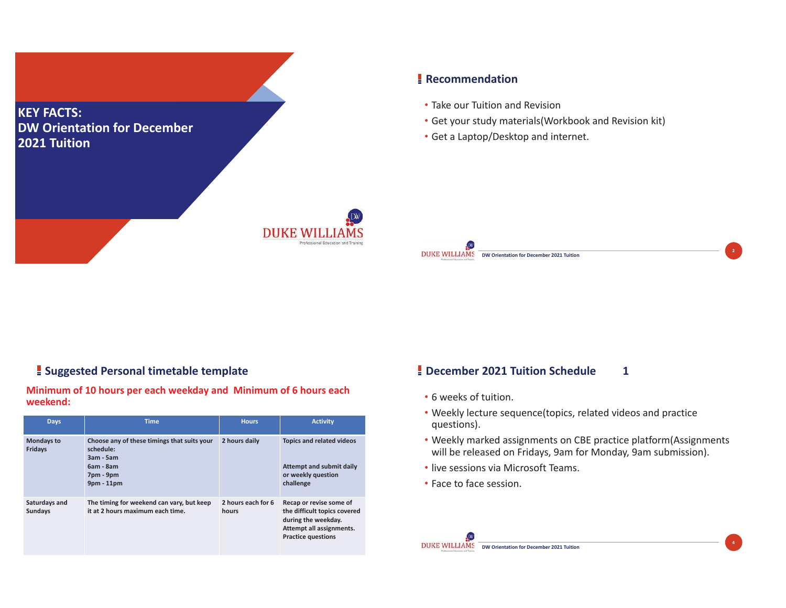

## **Recommendation**

- Take our Tuition and Revision
- Get your study materials(Workbook and Revision kit)
- Get a Laptop/Desktop and internet.

#### **Suggested Personal timetable template**

#### **Minimum of 10 hours per each weekday and Minimum of 6 hours each weekend:**

| <b>Days</b>                     | <b>Time</b>                                                                                                       | <b>Hours</b>                | <b>Activity</b>                                                                                                                         |
|---------------------------------|-------------------------------------------------------------------------------------------------------------------|-----------------------------|-----------------------------------------------------------------------------------------------------------------------------------------|
| <b>Mondays to</b><br>Fridays    | Choose any of these timings that suits your<br>schedule:<br>$3am - 5am$<br>6am - 8am<br>7pm - 9pm<br>$9pm - 11pm$ | 2 hours daily               | <b>Topics and related videos</b><br>Attempt and submit daily<br>or weekly question<br>challenge                                         |
| Saturdays and<br><b>Sundays</b> | The timing for weekend can vary, but keep<br>it at 2 hours maximum each time.                                     | 2 hours each for 6<br>hours | Recap or revise some of<br>the difficult topics covered<br>during the weekday.<br>Attempt all assignments.<br><b>Practice questions</b> |

## **December 2021 Tuition Schedule 1**

**DW Orientation for December 2021 Tuition**

- 6 weeks of tuition.
- Weekly lecture sequence(topics, related videos and practice questions).
- Weekly marked assignments on CBE practice platform(Assignments will be released on Fridays, 9am for Monday, 9am submission).

**2**

**4**

- live sessions via Microsoft Teams.
- Face to face session.